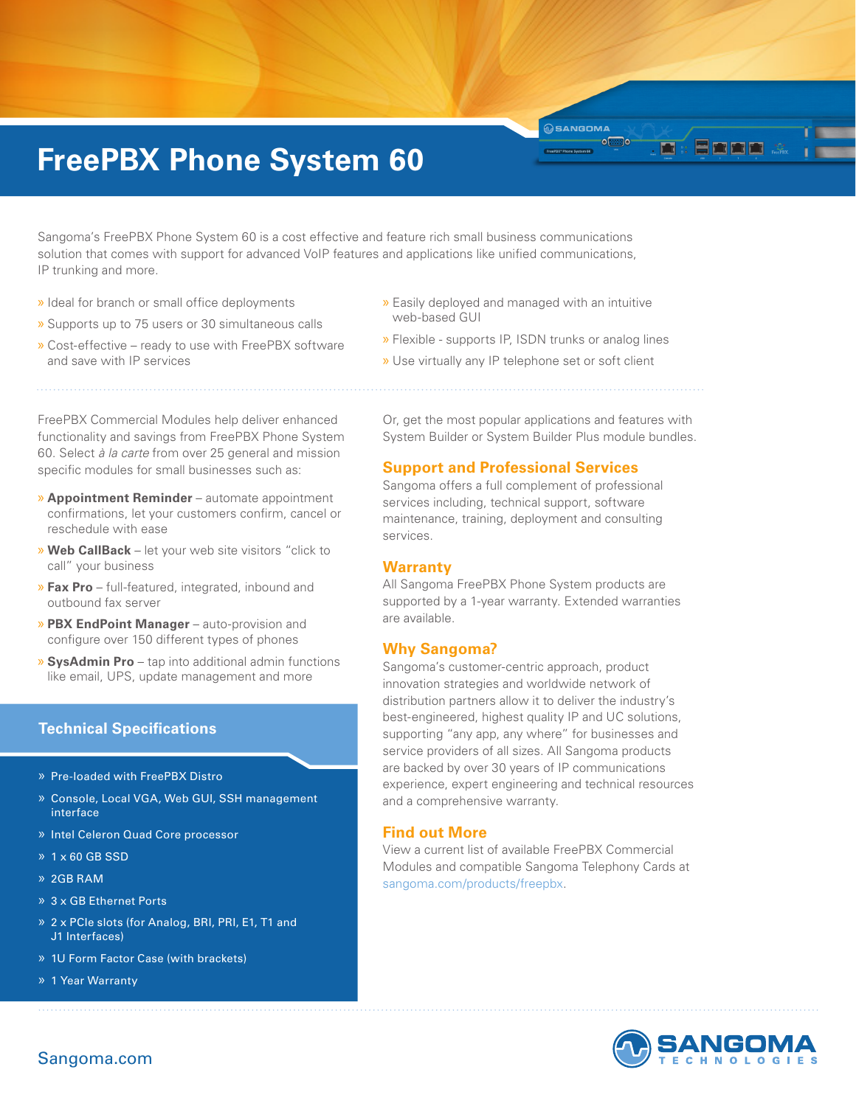# **FreePBX Phone System 60**

Sangoma's FreePBX Phone System 60 is a cost effective and feature rich small business communications solution that comes with support for advanced VoIP features and applications like unified communications, IP trunking and more.

- » Ideal for branch or small office deployments
- » Supports up to 75 users or 30 simultaneous calls
- » Cost-effective ready to use with FreePBX software and save with IP services
- » Easily deployed and managed with an intuitive web-based GUI
- » Flexible supports IP, ISDN trunks or analog lines

**OSANGOMA**  $\overline{\phantom{a}}$  of

**E II II II** 

m

» Use virtually any IP telephone set or soft client

FreePBX Commercial Modules help deliver enhanced functionality and savings from FreePBX Phone System 60. Select *à la carte* from over 25 general and mission specific modules for small businesses such as:

- » **Appointment Reminder** automate appointment confirmations, let your customers confirm, cancel or reschedule with ease
- » **Web CallBack** let your web site visitors "click to call" your business
- » **Fax Pro** full-featured, integrated, inbound and outbound fax server
- » **PBX EndPoint Manager** auto-provision and configure over 150 different types of phones
- » **SysAdmin Pro** tap into additional admin functions like email, UPS, update management and more

## **Technical Specifications**

- » Pre-loaded with FreePBX Distro
- » Console, Local VGA, Web GUI, SSH management interface
- » Intel Celeron Quad Core processor
- » 1 x 60 GB SSD
- » 2GB RAM
- » 3 x GB Ethernet Ports
- » 2 x PCIe slots (for Analog, BRI, PRI, E1, T1 and J1 Interfaces)
- » 1U Form Factor Case (with brackets)
- » 1 Year Warranty

Or, get the most popular applications and features with System Builder or System Builder Plus module bundles.

#### **Support and Professional Services**

Sangoma offers a full complement of professional services including, technical support, software maintenance, training, deployment and consulting services.

#### **Warranty**

All Sangoma FreePBX Phone System products are supported by a 1-year warranty. Extended warranties are available.

### **Why Sangoma?**

Sangoma's customer-centric approach, product innovation strategies and worldwide network of distribution partners allow it to deliver the industry's best-engineered, highest quality IP and UC solutions, supporting "any app, any where" for businesses and service providers of all sizes. All Sangoma products are backed by over 30 years of IP communications experience, expert engineering and technical resources and a comprehensive warranty.

### **Find out More**

View a current list of available FreePBX Commercial Modules and compatible Sangoma Telephony Cards at sangoma.com/products/freepbx.



# Sangoma.com